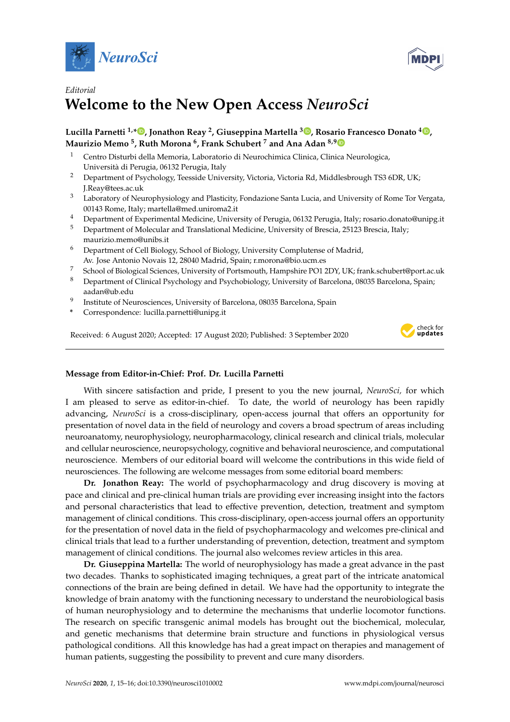



## *Editorial* **Welcome to the New Open Access** *NeuroSci*

## **Lucilla Parnetti 1,[\\*](https://orcid.org/0000-0001-5722-3967) , Jonathon Reay <sup>2</sup> , Giuseppina Martella <sup>3</sup> [,](https://orcid.org/0000-0002-8927-7107) Rosario Francesco Donato <sup>4</sup> [,](https://orcid.org/0000-0002-9608-4506) Maurizio Memo <sup>5</sup> , Ruth Morona <sup>6</sup> , Frank Schubert <sup>7</sup> and Ana Adan 8,[9](https://orcid.org/0000-0002-3328-3452)**

- <sup>1</sup> Centro Disturbi della Memoria, Laboratorio di Neurochimica Clinica, Clinica Neurologica, Università di Perugia, 06132 Perugia, Italy
- <sup>2</sup> Department of Psychology, Teesside University, Victoria, Victoria Rd, Middlesbrough TS3 6DR, UK; J.Reay@tees.ac.uk
- <sup>3</sup> Laboratory of Neurophysiology and Plasticity, Fondazione Santa Lucia, and University of Rome Tor Vergata, 00143 Rome, Italy; martella@med.uniroma2.it
- <sup>4</sup> Department of Experimental Medicine, University of Perugia, 06132 Perugia, Italy; rosario.donato@unipg.it
- <sup>5</sup> Department of Molecular and Translational Medicine, University of Brescia, 25123 Brescia, Italy; maurizio.memo@unibs.it
- <sup>6</sup> Department of Cell Biology, School of Biology, University Complutense of Madrid, Av. Jose Antonio Novais 12, 28040 Madrid, Spain; r.morona@bio.ucm.es
- <sup>7</sup> School of Biological Sciences, University of Portsmouth, Hampshire PO1 2DY, UK; frank.schubert@port.ac.uk
- <sup>8</sup> Department of Clinical Psychology and Psychobiology, University of Barcelona, 08035 Barcelona, Spain; aadan@ub.edu
- 9 Institute of Neurosciences, University of Barcelona, 08035 Barcelona, Spain
- **\*** Correspondence: lucilla.parnetti@unipg.it

Received: 6 August 2020; Accepted: 17 August 2020; Published: 3 September 2020



## **Message from Editor-in-Chief: Prof. Dr. Lucilla Parnetti**

With sincere satisfaction and pride, I present to you the new journal, *NeuroSci,* for which I am pleased to serve as editor-in-chief. To date, the world of neurology has been rapidly advancing, *NeuroSci* is a cross-disciplinary, open-access journal that offers an opportunity for presentation of novel data in the field of neurology and covers a broad spectrum of areas including neuroanatomy, neurophysiology, neuropharmacology, clinical research and clinical trials, molecular and cellular neuroscience, neuropsychology, cognitive and behavioral neuroscience, and computational neuroscience. Members of our editorial board will welcome the contributions in this wide field of neurosciences. The following are welcome messages from some editorial board members:

**Dr. Jonathon Reay:** The world of psychopharmacology and drug discovery is moving at pace and clinical and pre-clinical human trials are providing ever increasing insight into the factors and personal characteristics that lead to effective prevention, detection, treatment and symptom management of clinical conditions. This cross-disciplinary, open-access journal offers an opportunity for the presentation of novel data in the field of psychopharmacology and welcomes pre-clinical and clinical trials that lead to a further understanding of prevention, detection, treatment and symptom management of clinical conditions. The journal also welcomes review articles in this area.

**Dr. Giuseppina Martella:** The world of neurophysiology has made a great advance in the past two decades. Thanks to sophisticated imaging techniques, a great part of the intricate anatomical connections of the brain are being defined in detail. We have had the opportunity to integrate the knowledge of brain anatomy with the functioning necessary to understand the neurobiological basis of human neurophysiology and to determine the mechanisms that underlie locomotor functions. The research on specific transgenic animal models has brought out the biochemical, molecular, and genetic mechanisms that determine brain structure and functions in physiological versus pathological conditions. All this knowledge has had a great impact on therapies and management of human patients, suggesting the possibility to prevent and cure many disorders.